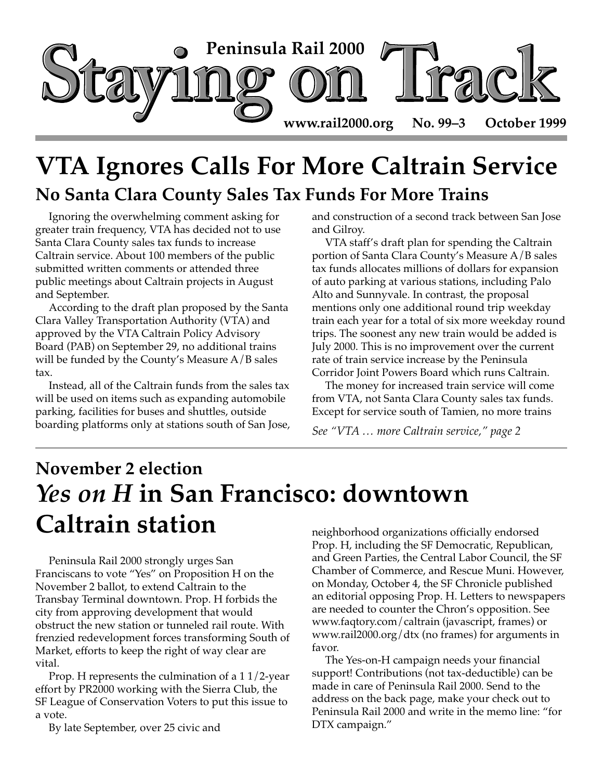

## **VTA Ignores Calls For More Caltrain Service No Santa Clara County Sales Tax Funds For More Trains**

Ignoring the overwhelming comment asking for greater train frequency, VTA has decided not to use Santa Clara County sales tax funds to increase Caltrain service. About 100 members of the public submitted written comments or attended three public meetings about Caltrain projects in August and September.

According to the draft plan proposed by the Santa Clara Valley Transportation Authority (VTA) and approved by the VTA Caltrain Policy Advisory Board (PAB) on September 29, no additional trains will be funded by the County's Measure A/B sales tax.

Instead, all of the Caltrain funds from the sales tax will be used on items such as expanding automobile parking, facilities for buses and shuttles, outside boarding platforms only at stations south of San Jose, and construction of a second track between San Jose and Gilroy.

VTA staff's draft plan for spending the Caltrain portion of Santa Clara County's Measure A/B sales tax funds allocates millions of dollars for expansion of auto parking at various stations, including Palo Alto and Sunnyvale. In contrast, the proposal mentions only one additional round trip weekday train each year for a total of six more weekday round trips. The soonest any new train would be added is July 2000. This is no improvement over the current rate of train service increase by the Peninsula Corridor Joint Powers Board which runs Caltrain.

The money for increased train service will come from VTA, not Santa Clara County sales tax funds. Except for service south of Tamien, no more trains

*See "VTA … more Caltrain service," page 2*

# **November 2 election** *Yes on H* **in San Francisco: downtown Caltrain station**

Peninsula Rail 2000 strongly urges San Franciscans to vote "Yes" on Proposition H on the November 2 ballot, to extend Caltrain to the Transbay Terminal downtown. Prop. H forbids the city from approving development that would obstruct the new station or tunneled rail route. With frenzied redevelopment forces transforming South of Market, efforts to keep the right of way clear are vital.

Prop. H represents the culmination of a 1 1/2-year effort by PR2000 working with the Sierra Club, the SF League of Conservation Voters to put this issue to a vote.

By late September, over 25 civic and

neighborhood organizations officially endorsed Prop. H, including the SF Democratic, Republican, and Green Parties, the Central Labor Council, the SF Chamber of Commerce, and Rescue Muni. However, on Monday, October 4, the SF Chronicle published an editorial opposing Prop. H. Letters to newspapers are needed to counter the Chron's opposition. See www.faqtory.com/caltrain (javascript, frames) or www.rail2000.org/dtx (no frames) for arguments in favor.

The Yes-on-H campaign needs your financial support! Contributions (not tax-deductible) can be made in care of Peninsula Rail 2000. Send to the address on the back page, make your check out to Peninsula Rail 2000 and write in the memo line: "for DTX campaign."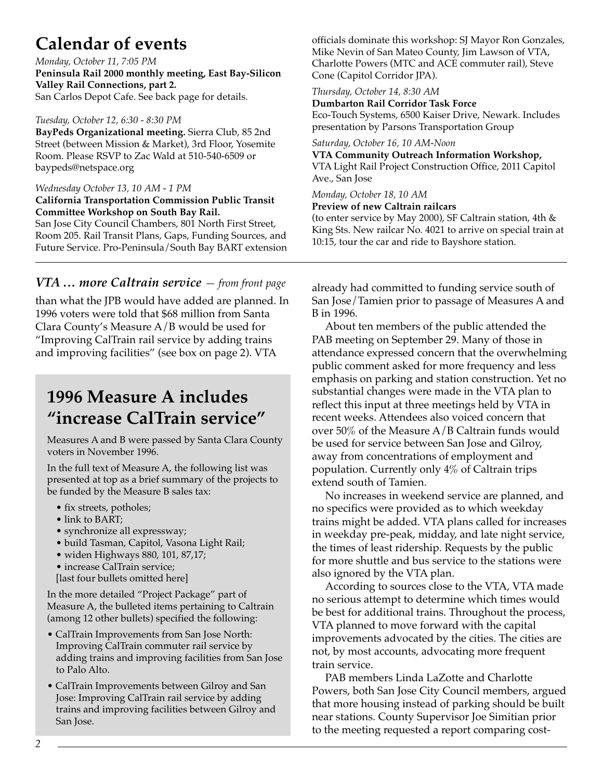## **Calendar of events**

*Monday, October 11, 7:05 PM* **Peninsula Rail 2000 monthly meeting, East Bay-Silicon Valley Rail Connections, part 2.** San Carlos Depot Cafe. See back page for details.

#### *Tuesday, October 12, 6:30 - 8:30 PM*

**BayPeds Organizational meeting.** Sierra Club, 85 2nd Street (between Mission & Market), 3rd Floor, Yosemite Room. Please RSVP to Zac Wald at 510-540-6509 or baypeds@netspace.org

#### *Wednesday October 13, 10 AM - 1 PM*

#### **California Transportation Commission Public Transit Committee Workshop on South Bay Rail.**

San Jose City Council Chambers, 801 North First Street, Room 205. Rail Transit Plans, Gaps, Funding Sources, and Future Service. Pro-Peninsula/South Bay BART extension

*VTA … more Caltrain service — from front page*

than what the JPB would have added are planned. In 1996 voters were told that \$68 million from Santa Clara County's Measure A/B would be used for "Improving CalTrain rail service by adding trains and improving facilities" (see box on page 2). VTA

### **1996 Measure A includes "increase CalTrain service"**

Measures A and B were passed by Santa Clara County voters in November 1996.

In the full text of Measure A, the following list was presented at top as a brief summary of the projects to be funded by the Measure B sales tax:

- fix streets, potholes;
- link to BART;
- synchronize all expressway;
- build Tasman, Capitol, Vasona Light Rail;
- widen Highways 880, 101, 87,17;

• increase CalTrain service; [last four bullets omitted here]

In the more detailed "Project Package" part of Measure A, the bulleted items pertaining to Caltrain (among 12 other bullets) specified the following:

- CalTrain Improvements from San Jose North: Improving CalTrain commuter rail service by adding trains and improving facilities from San Jose to Palo Alto.
- CalTrain Improvements between Gilroy and San Jose: Improving CalTrain rail service by adding trains and improving facilities between Gilroy and San Jose.

officials dominate this workshop: SJ Mayor Ron Gonzales, Mike Nevin of San Mateo County, Jim Lawson of VTA, Charlotte Powers (MTC and ACE commuter rail), Steve Cone (Capitol Corridor JPA).

#### *Thursday, October 14, 8:30 AM*

**Dumbarton Rail Corridor Task Force**

Eco-Touch Systems, 6500 Kaiser Drive, Newark. Includes presentation by Parsons Transportation Group

#### *Saturday, October 16, 10 AM-Noon*

**VTA Community Outreach Information Workshop,** VTA Light Rail Project Construction Office, 2011 Capitol Ave., San Jose

#### *Monday, October 18, 10 AM*

**Preview of new Caltrain railcars**

(to enter service by May 2000), SF Caltrain station, 4th & King Sts. New railcar No. 4021 to arrive on special train at 10:15, tour the car and ride to Bayshore station.

already had committed to funding service south of San Jose/Tamien prior to passage of Measures A and B in 1996.

About ten members of the public attended the PAB meeting on September 29. Many of those in attendance expressed concern that the overwhelming public comment asked for more frequency and less emphasis on parking and station construction. Yet no substantial changes were made in the VTA plan to reflect this input at three meetings held by VTA in recent weeks. Attendees also voiced concern that over 50% of the Measure A/B Caltrain funds would be used for service between San Jose and Gilroy, away from concentrations of employment and population. Currently only 4% of Caltrain trips extend south of Tamien.

No increases in weekend service are planned, and no specifics were provided as to which weekday trains might be added. VTA plans called for increases in weekday pre-peak, midday, and late night service, the times of least ridership. Requests by the public for more shuttle and bus service to the stations were also ignored by the VTA plan.

According to sources close to the VTA, VTA made no serious attempt to determine which times would be best for additional trains. Throughout the process, VTA planned to move forward with the capital improvements advocated by the cities. The cities are not, by most accounts, advocating more frequent train service.

PAB members Linda LaZotte and Charlotte Powers, both San Jose City Council members, argued that more housing instead of parking should be built near stations. County Supervisor Joe Simitian prior to the meeting requested a report comparing cost-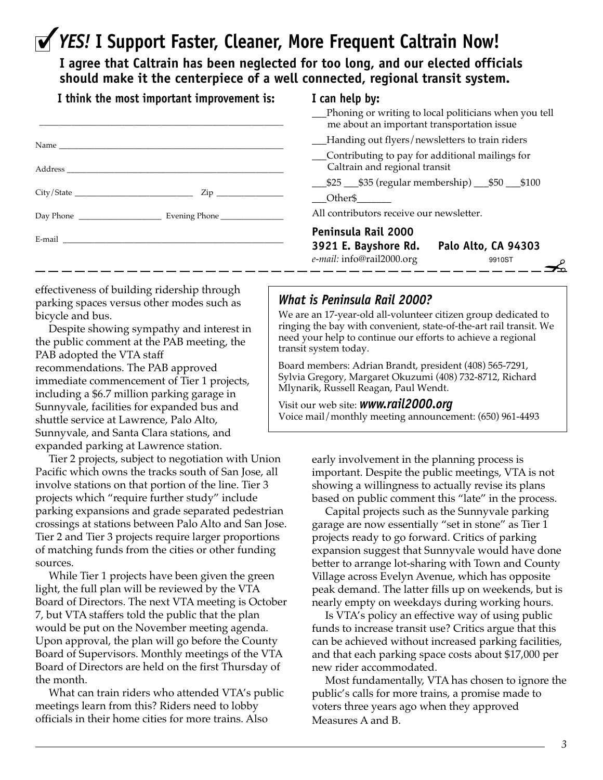## ✓*YES!* **I Support Faster, Cleaner, More Frequent Caltrain Now!**

**I agree that Caltrain has been neglected for too long, and our elected officials should make it the centerpiece of a well connected, regional transit system.**

| I think the most important improvement is: |
|--------------------------------------------|
|--------------------------------------------|

#### **I can help by:**

| __Phoning or writing to local politicians when you tell |  |  |  |                                            |  |  |  |
|---------------------------------------------------------|--|--|--|--------------------------------------------|--|--|--|
|                                                         |  |  |  | me about an important transportation issue |  |  |  |
|                                                         |  |  |  | TT 1. . AT 1. 1. 1                         |  |  |  |

- \_\_\_Handing out flyers/newsletters to train riders
- \_\_\_Contributing to pay for additional mailings for Caltrain and regional transit
- \_\_\_\$25 \_\_\_\$35 (regular membership) \_\_\_\$50 \_\_\_\$100

Other\$

All contributors receive our newsletter.

#### **Peninsula Rail 2000**

| 3921 E. Bayshore Rd.      | Palo Alto, CA 94303 |
|---------------------------|---------------------|
| e-mail: info@rail2000.org | 9910ST              |
|                           |                     |

effectiveness of building ridership through parking spaces versus other modes such as bicycle and bus.

Despite showing sympathy and interest in the public comment at the PAB meeting, the PAB adopted the VTA staff recommendations. The PAB approved immediate commencement of Tier 1 projects, including a \$6.7 million parking garage in Sunnyvale, facilities for expanded bus and shuttle service at Lawrence, Palo Alto, Sunnyvale, and Santa Clara stations, and expanded parking at Lawrence station.

Tier 2 projects, subject to negotiation with Union Pacific which owns the tracks south of San Jose, all involve stations on that portion of the line. Tier 3 projects which "require further study" include parking expansions and grade separated pedestrian crossings at stations between Palo Alto and San Jose. Tier 2 and Tier 3 projects require larger proportions of matching funds from the cities or other funding sources.

While Tier 1 projects have been given the green light, the full plan will be reviewed by the VTA Board of Directors. The next VTA meeting is October 7, but VTA staffers told the public that the plan would be put on the November meeting agenda. Upon approval, the plan will go before the County Board of Supervisors. Monthly meetings of the VTA Board of Directors are held on the first Thursday of the month.

What can train riders who attended VTA's public meetings learn from this? Riders need to lobby officials in their home cities for more trains. Also

### *What is Peninsula Rail 2000?*

We are an 17-year-old all-volunteer citizen group dedicated to ringing the bay with convenient, state-of-the-art rail transit. We need your help to continue our efforts to achieve a regional transit system today.

Board members: Adrian Brandt, president (408) 565-7291, Sylvia Gregory, Margaret Okuzumi (408) 732-8712, Richard Mlynarik, Russell Reagan, Paul Wendt.

Visit our web site: *www.rail2000.org* Voice mail/monthly meeting announcement: (650) 961-4493

> early involvement in the planning process is important. Despite the public meetings, VTA is not showing a willingness to actually revise its plans based on public comment this "late" in the process.

Capital projects such as the Sunnyvale parking garage are now essentially "set in stone" as Tier 1 projects ready to go forward. Critics of parking expansion suggest that Sunnyvale would have done better to arrange lot-sharing with Town and County Village across Evelyn Avenue, which has opposite peak demand. The latter fills up on weekends, but is nearly empty on weekdays during working hours.

Is VTA's policy an effective way of using public funds to increase transit use? Critics argue that this can be achieved without increased parking facilities, and that each parking space costs about \$17,000 per new rider accommodated.

Most fundamentally, VTA has chosen to ignore the public's calls for more trains, a promise made to voters three years ago when they approved Measures A and B.